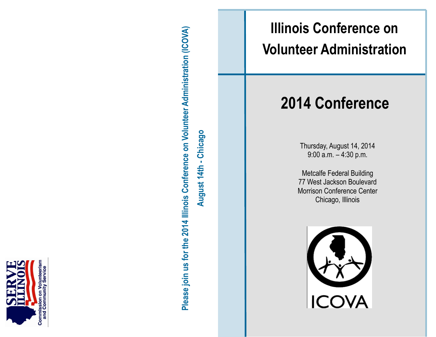

Please join us for the 2014 Illinois Conference on Volunteer Administration (ICOVA) **Please join us for the 2014 Illinois Conference on Volunteer Administration (ICOVA)** August 14th - Chicago **August 14th - Chicago** # **Illinois Conference on Volunteer Administration**

# **2014 Conference**

Thursday, August 14, 2014 9:00 a.m. – 4:30 p.m.

Metcalfe Federal Building 77 West Jackson Boulevard Morrison Conference Center Chicago, Illinois

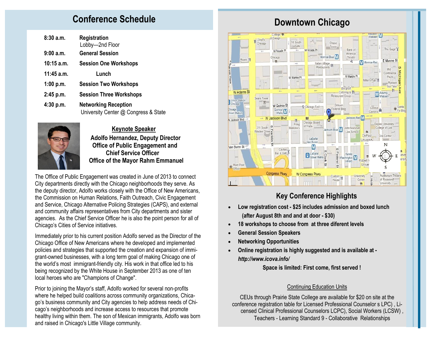# **Conference Schedule Conference Schedule Downtown Chicago**

| 8:30 a.m.    | Registration<br>Lobby-2nd Floor                                     |
|--------------|---------------------------------------------------------------------|
| 9:00a.m.     | <b>General Session</b>                                              |
| 10:15 a.m.   | <b>Session One Workshops</b>                                        |
| $11:45$ a.m. | Lunch                                                               |
| 1:00 p.m.    | <b>Session Two Workshops</b>                                        |
| 2:45 p.m.    | <b>Session Three Workshops</b>                                      |
| 4:30 p.m.    | <b>Networking Reception</b><br>University Center @ Congress & State |



 **Keynote Speaker Adolfo Hernandez, Deputy Director Office of Public Engagement and Chief Service Officer Office of the Mayor Rahm Emmanuel** 

The Office of Public Engagement was created in June of 2013 to connect City departments directly with the Chicago neighborhoods they serve. As the deputy director, Adolfo works closely with the Office of New Americans, the Commission on Human Relations, Faith Outreach, Civic Engagement and Service, Chicago Alternative Policing Strategies (CAPS), and external and community affairs representatives from City departments and sister agencies. As the Chief Service Officer he is also the point person for all of Chicago's Cities of Service initiatives.

Immediately prior to his current position Adolfo served as the Director of the Chicago Office of New Americans where he developed and implemented policies and strategies that supported the creation and expansion of immigrant-owned businesses, with a long term goal of making Chicago one of the world's most immigrant-friendly city. His work in that office led to his being recognized by the White House in September 2013 as one of ten local heroes who are "Champions of Change".

Prior to joining the Mayor's staff, Adolfo worked for several non-profits where he helped build coalitions across community organizations, Chicago's business community and City agencies to help address needs of Chicago's neighborhoods and increase access to resources that promote healthy living within them. The son of Mexican immigrants, Adolfo was born and raised in Chicago's Little Village community.



# **Key Conference Highlights**

- **Low registration cost - \$25 includes admission and boxed lunch (after August 8th and and at door - \$30)**
- **18 workshops to choose from at three diferent levels**
- **General Session Speakers**
- **Networking Opportunities**
- **Online registration is highly suggested and is available at**  *http://www.icova.info/*

 **Space is limited: First come, first served !** 

#### Continuing Education Units

CEUs through Prairie State College are available for \$20 on site at the conference registration table for Licensed Professional Counselor s LPC) , Licensed Clinical Professional Counselors LCPC), Social Workers (LCSW) , Teachers - Learning Standard 9 - Collaborative Relationships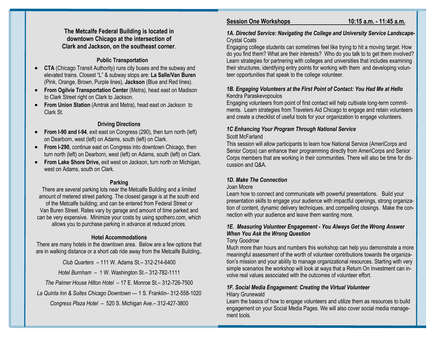#### **The Metcalfe Federal Building is located in downtown Chicago at the intersection of Clark and Jackson, on the southeast corner**.

#### **Public Transportation**

- **CTA** (Chicago Transit Authority) runs city buses and the subway and elevated trains. Closest "L" & subway stops are: **La Salle/Van Buren**  (Pink, Orange, Brown, Purple lines), **Jackson** (Blue and Red lines).
- **From Ogilvie Transportation Center** (Metra), head east on Madison to Clark Street right on Clark to Jackson.
- **From Union Station** (Amtrak and Metra), head east on Jackson to Clark St.

#### **Driving Directions**

- **From I-90 and I-94**, exit east on Congress (290), then turn north (left) on Dearborn, west (left) on Adams, south (left) on Clark.
- **From I-290**, continue east on Congress into downtown Chicago, then turn north (left) on Dearborn, west (left) on Adams, south (left) on Clark.
- **From Lake Shore Drive,** exit west on Jackson, turn north on Michigan, west on Adams, south on Clark.

#### **Parking**

There are several parking lots near the Metcalfe Building and a limited amount of metered street parking. The closest garage is at the south end of the Metcalfe building; and can be entered from Federal Street or Van Buren Street. Rates vary by garage and amount of time parked and can be very expensive. Minimize your costs by using spothero.com, which allows you to purchase parking in advance at reduced prices.

#### **Hotel Accommodations**

There are many hotels in the downtown area. Below are a few options that are in walking distance or a short cab ride away from the Metcalfe Building,.

*Club Quarters* – 111 W. Adams St.– 312-214-6400

*Hotel Burnham* – 1 W. Washington St.– 312-782-1111

*The Palmer House Hilton Hotel* – 17 E. Monroe St.– 312-726-7500

*La Quinta Inn & Suites Chicago Downtown* — 1 S. Franklin– 312-558-1020

*Congress Plaza Hotel* – 520 S. Michigan Ave.– 312-427-3800

### **Session One Workshops 10:15 a.m. - 11:45 a.m.**

#### *1A. Directed Service: Navigating the College and University Service Landscape-*Crystal Coats

Engaging college students can sometimes feel like trying to hit a moving target. How do you find them? What are their interests? Who do you talk to to get them involved? Learn strategies for partnering with colleges and universities that includes examining their structures, identifying entry points for working with them and developing volunteer opportunities that speak to the college volunteer.

#### *1B. Engaging Volunteers at the First Point of Contact: You Had Me at Hello* Kendra Paraskevopoulos

Engaging volunteers from point of first contact will help cultivate long-term commitments. Learn strategies from Travelers Aid Chicago to engage and retain volunteers and create a checklist of useful tools for your organization to engage volunteers.

## *1C Enhancing Your Program Through National Service*

#### Scott McFarland

This session will allow participants to learn how National Service (AmeriCorps and Senior Corps) can enhance their programming directly from AmeriCorps and Senior Corps members that are working in their communities. There will also be time for discussion and Q&A.

#### *1D. Make The Connection*

#### Joan Moore

Learn how to connect and communicate with powerful presentations. Build your presentation skills to engage your audience with impactful openings, strong organization of content, dynamic delivery techniques, and compelling closings. Make the connection with your audience and leave them wanting more.

#### *1E. Measuring Volunteer Engagement - You Always Get the Wrong Answer When You Ask the Wrong Question*

#### Tony Goodrow

Much more than hours and numbers this workshop can help you demonstrate a more meaningful assessment of the worth of volunteer contributions towards the organization's mission and your ability to manage organizational resources. Starting with very simple scenarios the workshop will look at ways that a Return On Investment can involve real values associated with the outcomes of volunteer effort.

## *1F. Social Media Engagement: Creating the Virtual Volunteer*

#### Hilary Grunewald

Learn the basics of how to engage volunteers and utilize them as resources to build engagement on your Social Media Pages. We will also cover social media management tools.